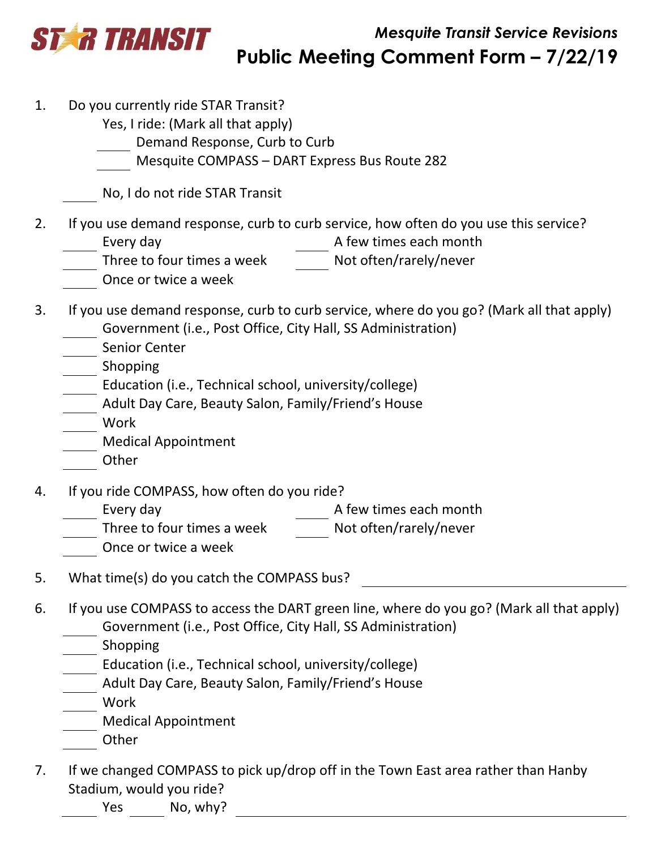

- 1. Do you currently ride STAR Transit?
	- Yes, I ride: (Mark all that apply)
		- Demand Response, Curb to Curb
	- Mesquite COMPASS DART Express Bus Route 282

No, I do not ride STAR Transit

- 2. If you use demand response, curb to curb service, how often do you use this service?<br>Every day Every day and the seach month  $R$  A few times each month
	-
	- Three to four times a week Not often/rarely/never
	- Once or twice a week
- 3. If you use demand response, curb to curb service, where do you go? (Mark all that apply) Government (i.e., Post Office, City Hall, SS Administration)
	- Senior Center
	- \_\_ Shopping
	- Education (i.e., Technical school, university/college)
	- Adult Day Care, Beauty Salon, Family/Friend's House
	- Work
	- Medical Appointment
	- Other
- 4. If you ride COMPASS, how often do you ride?
	- Every day **A** few times each month
	- Three to four times a week Not often/rarely/never
	- Once or twice a week
- 5. What time(s) do you catch the COMPASS bus?
- 6. If you use COMPASS to access the DART green line, where do you go? (Mark all that apply) Government (i.e., Post Office, City Hall, SS Administration)
	- Shopping
	- Education (i.e., Technical school, university/college)
	- Adult Day Care, Beauty Salon, Family/Friend's House
		- Work
	- Medical Appointment
	- **Other**
- 7. If we changed COMPASS to pick up/drop off in the Town East area rather than Hanby Stadium, would you ride?
	- Yes No, why?